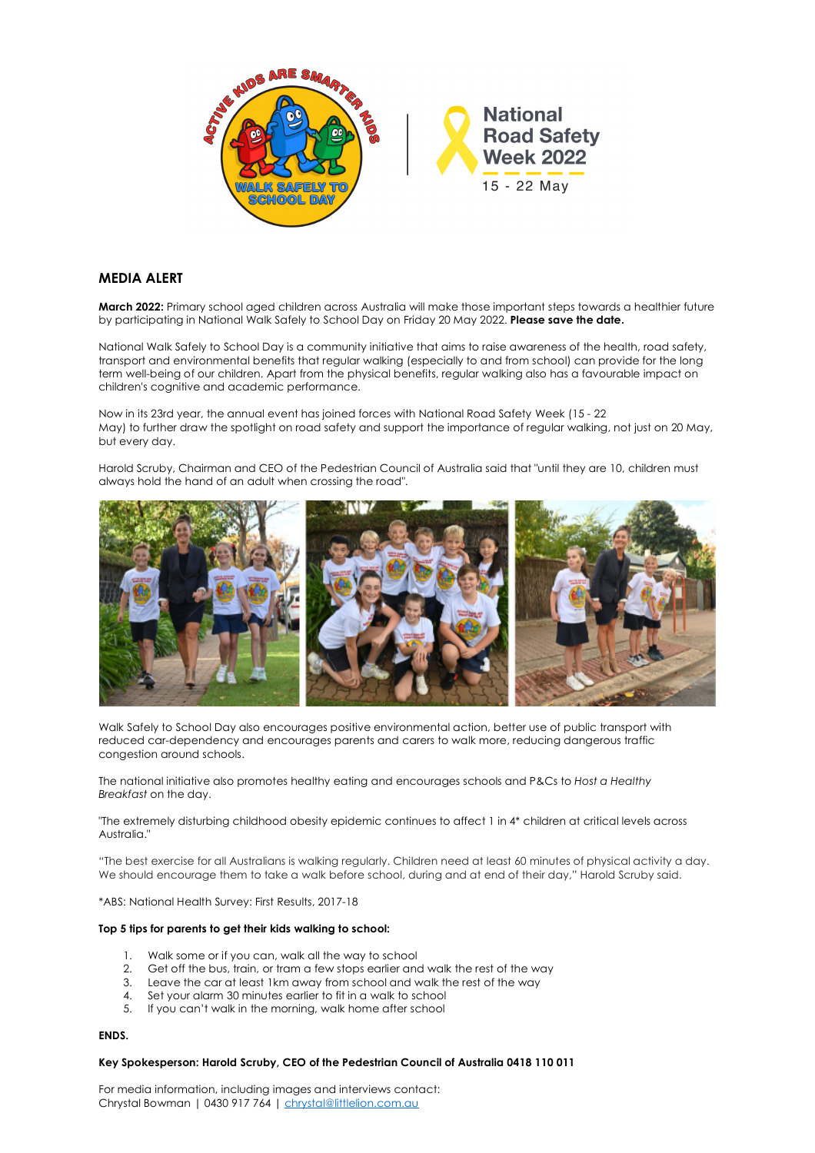

# **MEDIA ALERT**

**March 2022:** Primary school aged children across Australia will make those important steps towards a healthier future by participating in National Walk Safely to School Day on Friday 20 May 2022. **Please save the date.**

National Walk Safely to School Day is a community initiative that aims to raise awareness of the health, road safety, transport and environmental benefits that regular walking (especially to and from school) can provide for the long term well-being of our children. Apart from the physical benefits, regular walking also has a favourable impact on children's cognitive and academic performance.

Now in its 23rd year, the annual event has joined forces with National Road Safety Week (15 - 22 May) to further draw the spotlight on road safety and support the importance of regular walking, not just on 20 May, but every day.

Harold Scruby, Chairman and CEO of the Pedestrian Council of Australia said that "until they are 10, children must always hold the hand of an adult when crossing the road".



Walk Safely to School Day also encourages positive environmental action, better use of public transport with reduced car-dependency and encourages parents and carers to walk more, reducing dangerous traffic congestion around schools.

The national initiative also promotes healthy eating and encourages schools and P&Cs to *Host a Healthy Breakfast* on the day.

"The extremely disturbing childhood obesity epidemic continues to affect 1 in 4\* children at critical levels across Australia."

"The best exercise for all Australians is walking regularly. Children need at least 60 minutes of physical activity a day. We should encourage them to take a walk before school, during and at end of their day," Harold Scruby said.

\*ABS: National Health Survey: First Results, 2017-18

### **Top 5 tips for parents to get their kids walking to school:**

- 1. Walk some or if you can, walk all the way to school
- 2. Get off the bus, train, or tram a few stops earlier and walk the rest of the way
- 3. Leave the car at least 1km away from school and walk the rest of the way
- 4. Set your alarm 30 minutes earlier to fit in a walk to school
- 5. If you can't walk in the morning, walk home after school

### **ENDS.**

#### **Key Spokesperson: Harold Scruby, CEO of the Pedestrian Council of Australia 0418 110 011**

For media information, including images and interviews contact: Chrystal Bowman | 0430 917 764 | chrystal@littlelion.com.au